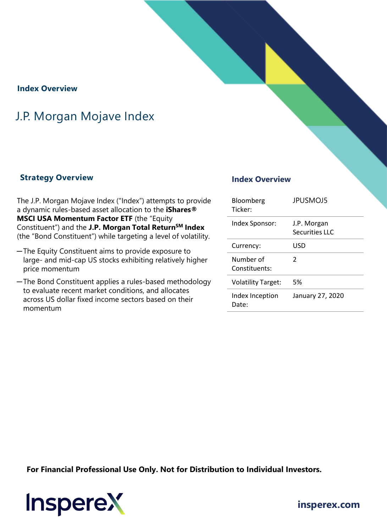#### **Index Overview**

## J.P. Morgan Mojave Index

#### **Strategy Overview Index Overview**

The J.P. Morgan Mojave Index ("Index") attempts to provide a dynamic rules-based asset allocation to the **iShares® MSCI USA Momentum Factor ETF** (the "Equity Constituent") and the **J.P. Morgan Total ReturnSM Index**  (the "Bond Constituent") while targeting a level of volatility.

- ─The Equity Constituent aims to provide exposure to large- and mid-cap US stocks exhibiting relatively higher price momentum
- ─The Bond Constituent applies a rules-based methodology to evaluate recent market conditions, and allocates across US dollar fixed income sectors based on their momentum

| Bloomberg<br>Ticker:       | <b>JPUSMOJ5</b>               |
|----------------------------|-------------------------------|
| Index Sponsor:             | J.P. Morgan<br>Securities LLC |
| Currency:                  | USD                           |
| Number of<br>Constituents: | $\mathcal{P}$                 |
| <b>Volatility Target:</b>  | 5%                            |
| Index Inception<br>Date:   | January 27, 2020              |

**For Financial Professional Use Only. Not for Distribution to Individual Investors.** 



**insperex.com**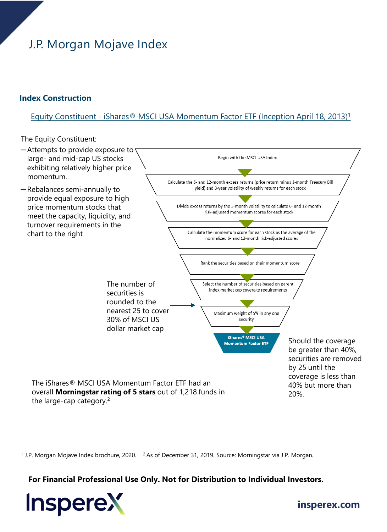# J.P. Morgan Mojave Index

#### **Index Construction**

#### Equity Constituent - iShares® MSCI USA Momentum Factor ETF (Inception April 18, 2013)1

The Equity Constituent:



<sup>1</sup> J.P. Morgan Mojave Index brochure, 2020. <sup>2</sup> As of December 31, 2019. Source: Morningstar via J.P. Morgan.

#### **For Financial Professional Use Only. Not for Distribution to Individual Investors.**



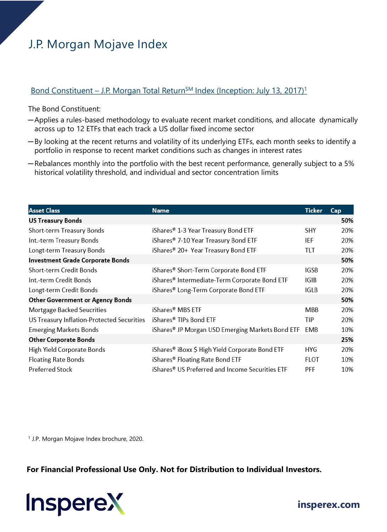## J.P. Morgan Mojave Index

### Bond Constituent – J.P. Morgan Total Return<sup>SM</sup> Index (Inception: July 13, 2017)<sup>1</sup>

The Bond Constituent:

- ─Applies a rules-based methodology to evaluate recent market conditions, and allocate dynamically across up to 12 ETFs that each track a US dollar fixed income sector
- ─By looking at the recent returns and volatility of its underlying ETFs, each month seeks to identify a portfolio in response to recent market conditions such as changes in interest rates
- ─Rebalances monthly into the portfolio with the best recent performance, generally subject to a 5% historical volatility threshold, and individual and sector concentration limits

| <b>Asset Class</b>                         | <b>Name</b>                                      | <b>Ticker</b> | Cap |
|--------------------------------------------|--------------------------------------------------|---------------|-----|
| <b>US Treasury Bonds</b>                   |                                                  |               | 50% |
| Short-term Treasury Bonds                  | iShares® 1-3 Year Treasury Bond ETF              | SHY           | 20% |
| Int.-term Treasury Bonds                   | iShares® 7-10 Year Treasury Bond ETF             | IEF           | 20% |
| Longt-term Treasury Bonds                  | iShares® 20+ Year Treasury Bond ETF              | tlt           | 20% |
| Investment Grade Corporate Bonds           |                                                  |               | 50% |
| Short-term Credit Bonds                    | iShares® Short-Term Corporate Bond ETF           | <b>IGSB</b>   | 20% |
| Int.-term Credit Bonds                     | iShares® Intermediate-Term Corporate Bond ETF    | <b>IGIB</b>   | 20% |
| Longt-term Credit Bonds                    | iShares® Long-Term Corporate Bond ETF            | IGLB          | 20% |
| <b>Other Government or Agency Bonds</b>    |                                                  |               | 50% |
| Mortgage Backed Seucrities                 | iShares® MBS ETF                                 | <b>MBB</b>    | 20% |
| US Treasury Inflation-Protected Securities | iShares® TIPs Bond ETF                           | TIP           | 20% |
| <b>Emerging Markets Bonds</b>              | iShares® JP Morgan USD Emerging Markets Bond ETF | EMB           | 10% |
| <b>Other Corporate Bonds</b>               |                                                  |               | 25% |
| High Yield Corporate Bonds                 | iShares® iBoxx \$ High Yield Corporate Bond ETF  | HYG           | 20% |
| <b>Floating Rate Bonds</b>                 | iShares® Floating Rate Bond ETF                  | <b>FLOT</b>   | 10% |
| <b>Preferred Stock</b>                     | iShares® US Preferred and Income Securities ETF  | <b>PFF</b>    | 10% |

<sup>1</sup> J.P. Morgan Mojave Index brochure, 2020.

**For Financial Professional Use Only. Not for Distribution to Individual Investors.**